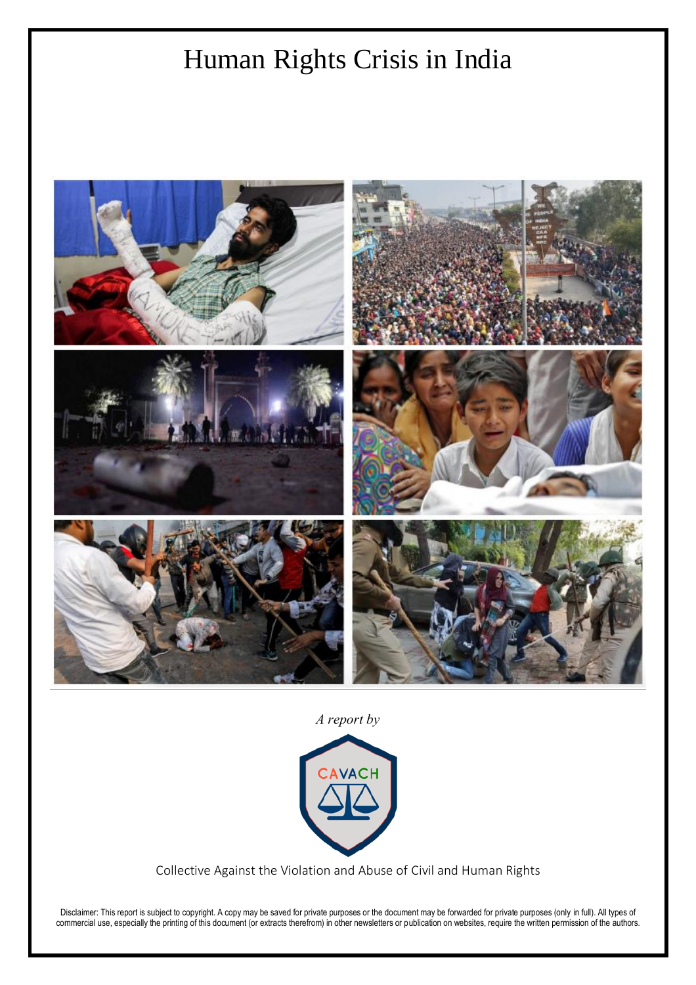# Human Rights Crisis in India



*A report by*



Collective Against the Violation and Abuse of Civil and Human Rights

Disclaimer: This report is subject to copyright. A copy may be saved for private purposes or the document may be forwarded for private purposes (only in full). All types of commercial use, especially the printing of this document (or extracts therefrom) in other newsletters or publication on websites, require the written permission of the authors.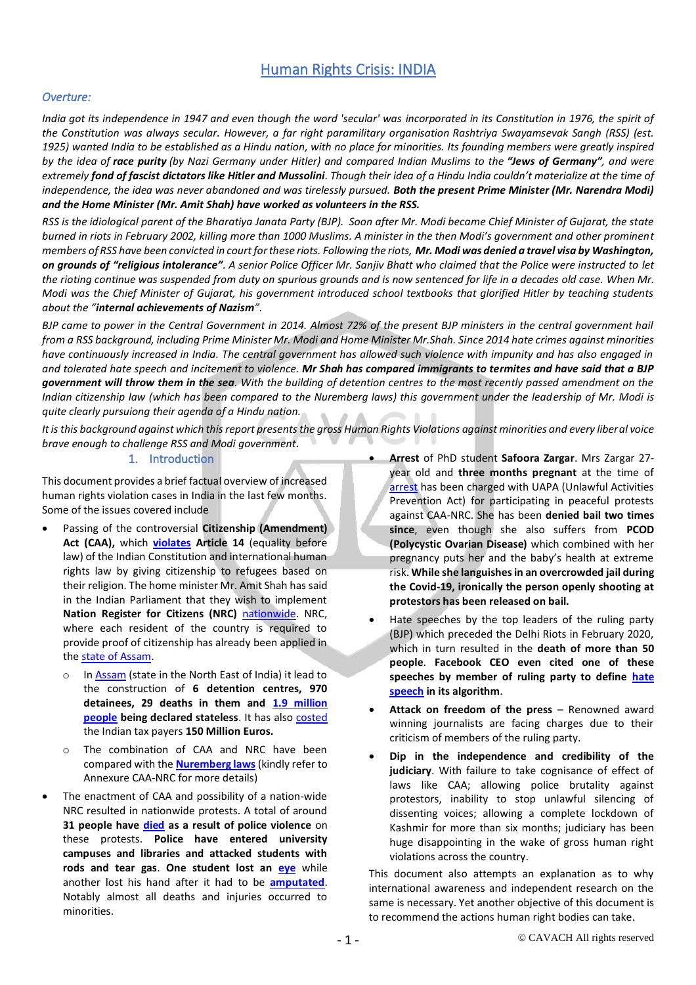# Human Rights Crisis: INDIA

#### *Overture:*

*India got its independence in 1947 and even though the word 'secular' was incorporated in its Constitution in 1976, the spirit of the Constitution was always secular. However, a far right paramilitary organisation Rashtriya Swayamsevak Sangh (RSS) (est. 1925) wanted India to be established as a Hindu nation, with no place for minorities. Its founding members were greatly inspired by the idea of race purity (by Nazi Germany under Hitler) and compared Indian Muslims to the "Jews of Germany", and were extremely fond of fascist dictators like Hitler and Mussolini. Though their idea of a Hindu India couldn't materialize at the time of independence, the idea was never abandoned and was tirelessly pursued. Both the present Prime Minister (Mr. Narendra Modi) and the Home Minister (Mr. Amit Shah) have worked as volunteers in the RSS.*

*RSS is the idiological parent of the Bharatiya Janata Party (BJP). Soon after Mr. Modi became Chief Minister of Gujarat, the state burned in riots in February 2002, killing more than 1000 Muslims. A minister in the then Modi's government and other prominent members of RSS have been convicted in court for these riots. Following the riots, Mr. Modi was denied a travel visa by Washington, on grounds of "religious intolerance". A senior Police Officer Mr. Sanjiv Bhatt who claimed that the Police were instructed to let the rioting continue was suspended from duty on spurious grounds and is now sentenced for life in a decades old case. When Mr. Modi was the Chief Minister of Gujarat, his government introduced school textbooks that glorified Hitler by teaching students about the "internal achievements of Nazism".*

*BJP came to power in the Central Government in 2014. Almost 72% of the present BJP ministers in the central government hail from a RSS background, including Prime Minister Mr. Modi and Home Minister Mr.Shah. Since 2014 hate crimes against minorities have continuously increased in India. The central government has allowed such violence with impunity and has also engaged in and tolerated hate speech and incitement to violence. Mr Shah has compared immigrants to termites and have said that a BJP government will throw them in the sea. With the building of detention centres to the most recently passed amendment on the Indian citizenship law (which has been compared to the Nuremberg laws) this government under the leadership of Mr. Modi is quite clearly pursuiong their agenda of a Hindu nation.*

*It is this background against which this report presents the gross Human Rights Violations against minorities and every liberal voice brave enough to challenge RSS and Modi government.*

#### 1. Introduction

This document provides a brief factual overview of increased human rights violation cases in India in the last few months. Some of the issues covered include

- Passing of the controversial **Citizenship (Amendment) Act (CAA),** which **[violates](https://timesofindia.indiatimes.com/india/caa-in-clear-violation-of-indian-constitution-and-international-human-rights-law-amnesty/articleshow/73838887.cms) Article 14** (equality before law) of the Indian Constitution and international human rights law by giving citizenship to refugees based on their religion. The home minister Mr. Amit Shah has said in the Indian Parliament that they wish to implement **Nation Register for Citizens (NRC)** [nationwide.](https://www.bbc.com/news/world-asia-india-50903056) NRC, where each resident of the country is required to provide proof of citizenship has already been applied in the [state of Assam.](https://amnesty.org.in/assam-foreigners-tribunal/) 
	- o I[n Assam](https://thestateindia.com/2019/12/26/truth-of-detention-center-970-people-in-6-camps-of-assam-central-government-has-given-instructions-to-the-remaining-states-4-times-in-the-last-10-years/) (state in the North East of India) it lead to the construction of **6 detention centres, 970 detainees, 29 deaths in them and [1.9 million](https://scroll.in/article/935823/in-assam-many-women-children-fail-to-make-nrc-even-as-their-family-members-are-counted-as-citizens)  [people](https://scroll.in/article/935823/in-assam-many-women-children-fail-to-make-nrc-even-as-their-family-members-are-counted-as-citizens) being declared stateless**. It has also [costed](https://www.nationalheraldindia.com/opinion/does-amit-shah-even-understand-what-nrc-will-cost) the Indian tax payers **150 Million Euros.**
	- o The combination of CAA and NRC have been compared with the **[Nuremberg laws](https://thewire.in/rights/assam-nrc-assam-nazi-reich-citizenship)** (kindly refer to Annexure CAA-NRC for more details)
- The enactment of CAA and possibility of a nation-wide NRC resulted in nationwide protests. A total of around **31 people have [died](https://www.thehindu.com/data/data-how-many-people-died-during-anti-caa-protests/article30494183.ece) as a result of police violence** on these protests. **Police have entered university campuses and libraries and attacked students with rods and tear gas**. **One student lost an [eye](https://www.storiesasia.org/2019/12/18/jamia-student-beaten-by-police-loses-eye/)** while another lost his hand after it had to be **[amputated](https://www.aljazeera.com/news/2019/12/won-write-amputation-apathy-india-amu-191224114443933.html)**. Notably almost all deaths and injuries occurred to minorities.
- **Arrest** of PhD student **Safoora Zargar**. Mrs Zargar 27 year old and **three months pregnant** at the time of [arrest](https://www.bbc.com/news/world-asia-india-52608589) has been charged with UAPA (Unlawful Activities Prevention Act) for participating in peaceful protests against CAA-NRC. She has been **denied bail two times since**, even though she also suffers from **PCOD (Polycystic Ovarian Disease)** which combined with her pregnancy puts her and the baby's health at extreme risk. **While she languishes in an overcrowded jail during the Covid-19, ironically the person openly shooting at protestors has been released on bail.**
- Hate speeches by the top leaders of the ruling party (BJP) which preceded the Delhi Riots in February 2020, which in turn resulted in the **death of more than 50 people**. **Facebook CEO even cited one of these speeches by member of ruling party to define [hate](https://thewire.in/tech/facebook-kapil-mishra-mark-zuckerberg-donald-trump)  [speech](https://thewire.in/tech/facebook-kapil-mishra-mark-zuckerberg-donald-trump) in its algorithm**.
- **Attack on freedom of the press** Renowned award winning journalists are facing charges due to their criticism of members of the ruling party.
- **Dip in the independence and credibility of the judiciary**. With failure to take cognisance of effect of laws like CAA; allowing police brutality against protestors, inability to stop unlawful silencing of dissenting voices; allowing a complete lockdown of Kashmir for more than six months; judiciary has been huge disappointing in the wake of gross human right violations across the country.

This document also attempts an explanation as to why international awareness and independent research on the same is necessary. Yet another objective of this document is to recommend the actions human right bodies can take.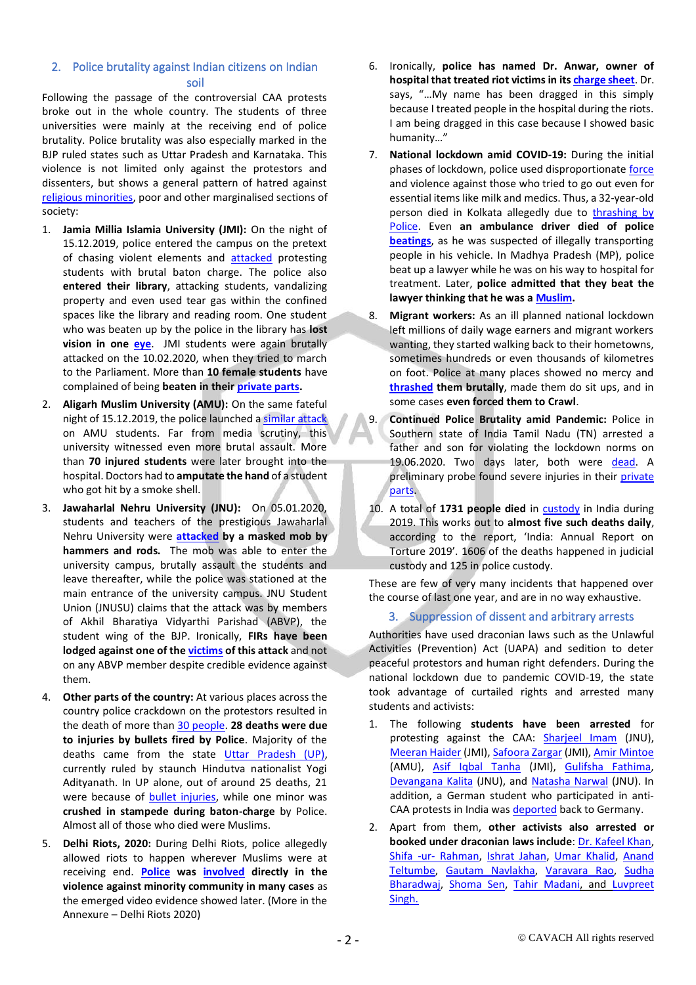# 2. Police brutality against Indian citizens on Indian soil

Following the passage of the controversial CAA protests broke out in the whole country. The students of three universities were mainly at the receiving end of police brutality. Police brutality was also especially marked in the BJP ruled states such as Uttar Pradesh and Karnataka. This violence is not limited only against the protestors and dissenters, but shows a general pattern of hatred against [religious minorities,](https://www.bbc.com/news/world-asia-india-40402021) poor and other marginalised sections of society:

- 1. **Jamia Millia Islamia University (JMI):** On the night of 15.12.2019, police entered the campus on the pretext of chasing violent elements and **[attacked](https://www.aljazeera.com/news/2019/12/heard-gunfire-jamia-students-detail-police-attack-campus-191218063347967.html)** protesting students with brutal baton charge. The police also **entered their library**, attacking students, vandalizing property and even used tear gas within the confined spaces like the library and reading room. One student who was beaten up by the police in the library has **lost vision in one [eye](https://www.storiesasia.org/2019/12/18/jamia-student-beaten-by-police-loses-eye/)**. JMI students were again brutally attacked on the 10.02.2020, when they tried to march to the Parliament. More than **10 female students** have complained of being **beaten in thei[r private parts.](https://www.indiatoday.in/india/story/female-jamia-students-private-parts-delhi-police-anti-caa-protest-1645059-2020-02-10)**
- 2. **Aligarh Muslim University (AMU):** On the same fateful night of 15.12.2019, the police launched [a similar attack](https://www.aljazeera.com/news/2019/12/won-write-amputation-apathy-india-amu-191224114443933.html) on AMU students. Far from media scrutiny, this university witnessed even more brutal assault. More than **70 injured students** were later brought into the hospital. Doctors had to **amputate the hand** of a student who got hit by a smoke shell.
- 3. **Jawaharlal Nehru University (JNU):** On 05.01.2020, students and teachers of the prestigious Jawaharlal Nehru University were **[attacked](https://www.nytimes.com/2020/01/10/world/asia/india-jawaharlal-nehru-university-attack.html) by a masked mob by hammers and rods.** The mob was able to enter the university campus, brutally assault the students and leave thereafter, while the police was stationed at the main entrance of the university campus. JNU Student Union (JNUSU) claims that the attack was by members of Akhil Bharatiya Vidyarthi Parishad (ABVP), the student wing of the BJP. Ironically, **FIRs have been lodged against one of the [victims](https://www.indiatoday.in/india/story/fir-against-aishe-ghosh-jnu-president-jnusu-delhi-police-1634828-2020-01-08) of this attack** and not on any ABVP member despite credible evidence against them.
- 4. **Other parts of the country:** At various places across the country police crackdown on the protestors resulted in the death of more than [30 people.](https://www.thehindu.com/data/data-how-many-people-died-during-anti-caa-protests/article30494183.ece) **28 deaths were due to injuries by bullets fired by Police**. Majority of the deaths came from the state [Uttar Pradesh \(UP\),](https://www.theguardian.com/world/2020/jan/03/we-are-not-safe-indias-muslims-tell-of-wave-of-police-brutality)  currently ruled by staunch Hindutva nationalist Yogi Adityanath. In UP alone, out of around 25 deaths, 21 were because of [bullet injuries,](https://www.newsclick.in/who-were-23-people-killed-during-anti-caa-nrc-protests) while one minor was **crushed in stampede during baton-charge** by Police. Almost all of those who died were Muslims.
- 5. **Delhi Riots, 2020:** During Delhi Riots, police allegedly allowed riots to happen wherever Muslims were at receiving end. **[Police](https://www.theguardian.com/world/2020/mar/16/delhis-muslims-despair-justice-police-implicated-hindu-riots) was [involved](https://www.nytimes.com/2020/03/12/world/asia/india-police-muslims.html) directly in the violence against minority community in many cases** as the emerged video evidence showed later. (More in the Annexure – Delhi Riots 2020)
- 6. Ironically, **police has named Dr. Anwar, owner of hospital that treated riot victims in it[s charge sheet](https://indianexpress.com/article/cities/delhi/waiters-murder-delhi-police-chargesheet-names-owner-of-hospital-that-treated-riot-victims-6478365/)**. Dr. says, "…My name has been dragged in this simply because I treated people in the hospital during the riots. I am being dragged in this case because I showed basic humanity…"
- 7. **National lockdown amid COVID-19:** During the initial phases of lockdown, police used disproportionate [force](https://www.thehindu.com/opinion/op-ed/licensed-to-beat-abuse-and-kill/article31609626.ece) and violence against those who tried to go out even for essential items like milk and medics. Thus, a 32-year-old person died in Kolkata allegedly due to [thrashing by](https://www.indiatoday.in/india/story/bengal-man-who-was-out-to-buy-milk-dies-after-being-beaten-up-by-police-1659842-2020-03-26)  [Police.](https://www.indiatoday.in/india/story/bengal-man-who-was-out-to-buy-milk-dies-after-being-beaten-up-by-police-1659842-2020-03-26) Even **an ambulance driver died of police [beatings](https://www.dw.com/en/india-police-under-fire-for-using-violence-to-enforce-coronavirus-lockdown/a-52946717)**, as he was suspected of illegally transporting people in his vehicle. In Madhya Pradesh (MP), police beat up a lawyer while he was on his way to hospital for treatment. Later, **police admitted that they beat the lawyer thinking that he was a [Muslim.](https://thewire.in/communalism/madhya-pradesh-lawyer-police-betul)**
- 8. **Migrant workers:** As an ill planned national lockdown left millions of daily wage earners and migrant workers wanting, they started walking back to their hometowns, sometimes hundreds or even thousands of kilometres on foot. Police at many places showed no mercy and **[thrashed](https://www.india.com/viral/flight-for-183-indians-lathicharge-for-millions-of-migrants-twitter-lashes-out-at-police-brutality-on-labourers-across-india-in-last-24-hours-4031800/) them brutally**, made them do sit ups, and in some cases **even forced them to Crawl**.
- 9. **Continued Police Brutality amid Pandemic:** Police in Southern state of India Tamil Nadu (TN) arrested a father and son for violating the lockdown norms on 19.06.2020. Two days later, both were [dead.](https://www.bbc.com/news/world-asia-india-53202707) A preliminary probe found severe injuries in their private [parts.](https://indianexpress.com/article/india/tamil-nadu-familys-last-memory-of-father-son-blood-soaked-police-around-6478371/)
- 10. A total of **1731 people died** in [custody](https://www.thehindu.com/news/national/five-custodial-deaths-in-india-daily-says-report/article31928611.ece) in India during 2019. This works out to **almost five such deaths daily**, according to the report, 'India: Annual Report on Torture 2019'. 1606 of the deaths happened in judicial custody and 125 in police custody.

These are few of very many incidents that happened over the course of last one year, and are in no way exhaustive.

### 3. Suppression of dissent and arbitrary arrests

Authorities have used draconian laws such as the Unlawful Activities (Prevention) Act (UAPA) and sedition to deter peaceful protestors and human right defenders. During the national lockdown due to pandemic COVID-19, the state took advantage of curtailed rights and arrested many students and activists:

- 1. The following **students have been arrested** for protesting against the CAA: [Sharjeel Imam](https://www.thehindu.com/news/national/sharjeel-imam-arrested-in-bihar/article30674659.ece) (JNU), [Meeran Haider](https://www.huffingtonpost.in/entry/delhi-riots-police-books-umar-khalid-meeran-haider-safoora-zargar-under-uapa_in_5e9fb770c5b6a486d0811c0c) (JMI)[, Safoora Zargar](https://www.huffingtonpost.in/entry/delhi-riots-police-books-umar-khalid-meeran-haider-safoora-zargar-under-uapa_in_5e9fb770c5b6a486d0811c0c) (JMI)[, Amir Mintoe](https://indianexpress.com/article/india/police-move-to-invoke-goonda-act-against-six-amu-students-6213259/) (AMU), [Asif Iqbal Tanha](https://www.ndtv.com/delhi-news/jamia-millia-islamia-student-granted-bail-in-anti-caa-violence-case-2237235) (JMI), [Gulifsha Fathima,](https://theprint.in/india/court-grants-bail-to-student-arrested-in-delhi-riots-case/420970/) [Devangana Kalita](https://thewire.in/rights/devangana-kalita-pinjra-tod-uapa-delhi-police) (JNU), and [Natasha Narwal](https://thewire.in/government/delhi-riots-natasha-narwal-uapa-pinjra-tod) (JNU). In addition, a German student who participated in antiCAA protests in India wa[s deported](https://www.dw.com/en/german-student-asked-to-leave-india-after-joining-student-protests/a-51786934) back to Germany.
- 2. Apart from them, **other activists also arrested or booked under draconian laws include**: [Dr. Kafeel Khan,](https://www.financialexpress.com/india-news/amu-protests-uttar-pradesh-police-slaps-nsa-against-dr-kafeel-khan/1867957/) [Shifa -ur-](https://timesofindia.indiatimes.com/city/delhi/police-arrest-jamia-alumni-association-president-shifa-ur-rahman-for-northeast-delhi-violence/articleshow/75406588.cms) Rahman, [Ishrat Jahan,](https://www.newindianexpress.com/cities/delhi/2020/feb/28/delhi-riots-court-rejects-bail-plea-of-arrested-ex-congress-municipal-councillor-ishrat-jahan-2109944.html) [Umar Khalid,](https://www.huffingtonpost.in/entry/delhi-riots-police-books-umar-khalid-meeran-haider-safoora-zargar-under-uapa_in_5e9fb770c5b6a486d0811c0c) [Anand](https://www.aljazeera.com/news/2020/04/india-arrests-activist-anand-teltumbde-2018-dalit-event-200414112452191.html)  [Teltumbe,](https://www.aljazeera.com/news/2020/04/india-arrests-activist-anand-teltumbde-2018-dalit-event-200414112452191.html) [Gautam Navlakha,](https://thewire.in/rights/gautam-navlakha-bhima-koregaon-nia-surrender) [Varavara Rao,](https://thewire.in/rights/global-intellectuals-appeal-saibaba-varavara-rao-release) [Sudha](https://www.news18.com/news/india/sudha-bharadwaj-in-jail-for-a-year-police-have-found-no-evidence-says-lawyer-2299781.html)  [Bharadwaj,](https://www.news18.com/news/india/sudha-bharadwaj-in-jail-for-a-year-police-have-found-no-evidence-says-lawyer-2299781.html) [Shoma Sen,](https://www.firstpost.com/india/arrested-professor-shoma-sens-daughter-koel-says-my-mothers-been-tagged-a-maoist-after-lifetime-of-working-for-others-4533031.html) [Tahir Madani,](https://www.outlookindia.com/newsscroll/up-police-files-fir-against-135-arrests-20-on-sedition-charges-in-azamgarh/1727717) and [Luvpreet](https://www.karvaanindia.com/2020/07/03/sikh-youth-involved-in-shaheen-bagh-protests-arrested-under-uapa/)  [Singh.](https://www.karvaanindia.com/2020/07/03/sikh-youth-involved-in-shaheen-bagh-protests-arrested-under-uapa/)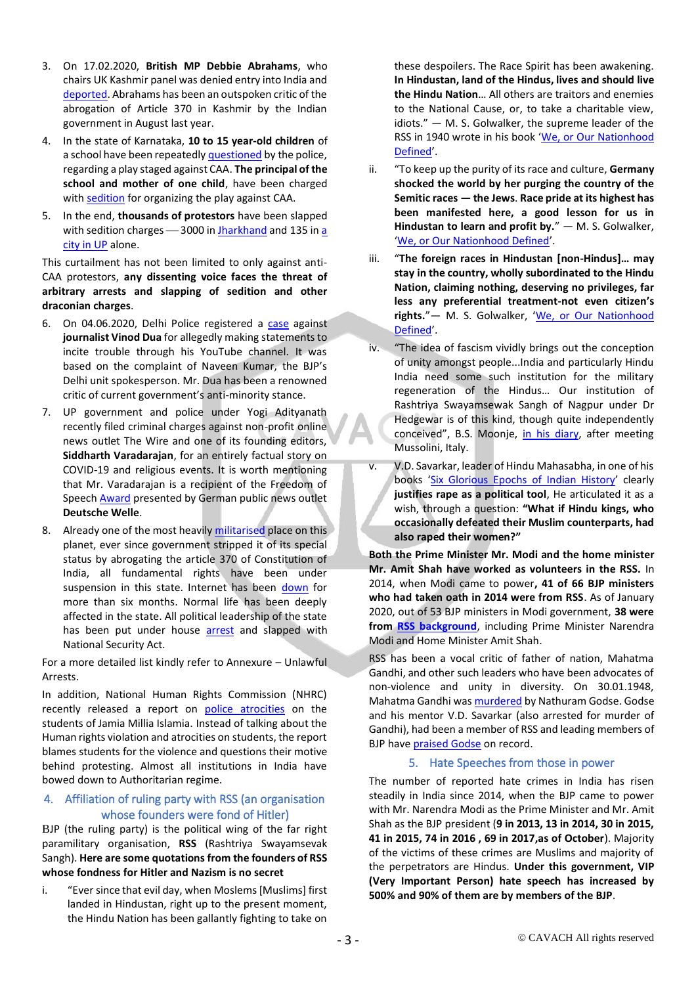- 3. On 17.02.2020, **British MP Debbie Abrahams**, who chairs UK Kashmir panel was denied entry into India and [deported.](https://www.theguardian.com/politics/2020/feb/17/india-denies-critical-labour-mp-debbie-abrahams-entry-to-country-kashmir) Abrahams has been an outspoken critic of the abrogation of Article 370 in Kashmir by the Indian government in August last year.
- 4. In the state of Karnataka, **10 to 15 year-old children** of a school have been repeatedl[y questioned](https://www.indiatoday.in/india/story/for-the-fifth-time-in-five-days-karnataka-cops-question-shaheen-school-students-over-anti-caa-play-1643270-2020-02-04) by the police, regarding a play staged against CAA. **The principal of the school and mother of one child**, have been charged wit[h sedition](https://www.aljazeera.com/news/2020/02/india-mother-school-principal-arrested-anti-caa-play-200206055353254.html) for organizing the play against CAA.
- 5. In the end, **thousands of protestors** have been slapped with sedition charges - 3000 i[n Jharkhand](https://www.aljazeera.com/news/2020/01/india-colonial-era-sedition-law-caa-protesters-200120100338578.html) and 135 in a [city in UP](https://www.ndtv.com/india-news/anti-caa-protests-up-police-file-case-against-135-arrests-20-on-sedition-charges-in-azamgarh-2176202) alone.

This curtailment has not been limited to only against anti-CAA protestors, **any dissenting voice faces the threat of arbitrary arrests and slapping of sedition and other draconian charges**.

- 6. On 04.06.2020, Delhi Police registered a [case](https://www.barandbench.com/news/litigation/delhi-court-directs-police-to-not-take-any-coercive-steps-against-vinod-dua-in-fir-for-his-youtube-show) against **journalist Vinod Dua** for allegedly making statements to incite trouble through his YouTube channel. It was based on the complaint of Naveen Kumar, the BJP's Delhi unit spokesperson. Mr. Dua has been a renowned critic of current government's anti-minority stance.
- 7. UP government and police under Yogi Adityanath recently filed criminal charges against non-profit online news outlet The Wire and one of its founding editors, **Siddharth Varadarajan**, for an entirely factual story on COVID-19 and religious events. It is worth mentioning that Mr. Varadarajan is a recipient of the Freedom of Speech [Award](https://www.dw.com/en/deutsche-welle-freedom-of-speech-award-17-laureates-from-14-countries/a-53306033) presented by German public news outlet **Deutsche Welle**.
- 8. Already one of the most heavily [militarised](https://www.forbes.com/sites/ranisingh/2016/07/12/kashmir-in-the-worlds-most-militarized-zone-violence-after-years-of-comparative-calm/#1ef9bf6b3124) place on this planet, ever since government stripped it of its special status by abrogating the article 370 of Constitution of India, all fundamental rights have been under suspension in this state. Internet has been [down](https://www.washingtonpost.com/world/asia_pacific/internet-service-limps-back-to-kashmir-after-nearly-six-months-blackout/2020/01/27/298b34fe-40d2-11ea-abff-5ab1ba98b405_story.html) for more than six months. Normal life has been deeply affected in the state. All political leadership of the state has been put under house [arrest](https://www.indiatoday.in/india/story/lockdown-in-kashmir-400-politicians-aides-separatist-under-arrest-valley-prison-1578055-2019-08-07) and slapped with National Security Act.

For a more detailed list kindly refer to Annexure – Unlawful Arrests.

In addition, National Human Rights Commission (NHRC) recently released a report on [police atrocities](https://www.scribd.com/document/467058070/NHRC-Report-on-Jamia-Violence#from_embed) on the students of Jamia Millia Islamia. Instead of talking about the Human rights violation and atrocities on students, the report blames students for the violence and questions their motive behind protesting. Almost all institutions in India have bowed down to Authoritarian regime.

# 4. Affiliation of ruling party with RSS (an organisation whose founders were fond of Hitler)

BJP (the ruling party) is the political wing of the far right paramilitary organisation, **RSS** (Rashtriya Swayamsevak Sangh). **Here are some quotations from the founders of RSS whose fondness for Hitler and Nazism is no secret**

i. "Ever since that evil day, when Moslems [Muslims] first landed in Hindustan, right up to the present moment, the Hindu Nation has been gallantly fighting to take on

these despoilers. The Race Spirit has been awakening. **In Hindustan, land of the Hindus, lives and should live the Hindu Nation**… All others are traitors and enemies to the National Cause, or, to take a charitable view, idiots." — M. S. Golwalker, the supreme leader of the RSS in 1940 wrote in his book '[We, or Our Nationhood](https://www.newagebd.net/article/94444/the-making-of-hinducracy-in-modis-india)  [Defined](https://www.newagebd.net/article/94444/the-making-of-hinducracy-in-modis-india)'.

- ii. "To keep up the purity of its race and culture, **Germany shocked the world by her purging the country of the Semitic races — the Jews**. **Race pride at its highest has been manifested here, a good lesson for us in Hindustan to learn and profit by.**" — M. S. Golwalker, '[We, or Our Nationhood Defined](https://www.newagebd.net/article/94444/the-making-of-hinducracy-in-modis-india)'.
- iii. "**The foreign races in Hindustan [non-Hindus]… may stay in the country, wholly subordinated to the Hindu Nation, claiming nothing, deserving no privileges, far less any preferential treatment-not even citizen's rights.**"— M. S. Golwalker, '[We, or Our Nationhood](https://bennorton.com/indian-prime-minister-narendra-modi-and-the-fascist-rss/)  [Defined](https://bennorton.com/indian-prime-minister-narendra-modi-and-the-fascist-rss/)'.
- iv. "The idea of fascism vividly brings out the conception of unity amongst people...India and particularly Hindu India need some such institution for the military regeneration of the Hindus… Our institution of Rashtriya Swayamsewak Sangh of Nagpur under Dr Hedgewar is of this kind, though quite independently conceived", B.S. Moonje, [in his diary,](https://www.newsclick.in/why-jaitley-needs-study-link-between-rss-and-fascism) after meeting Mussolini, Italy.
- v. V.D. Savarkar, leader of Hindu Mahasabha, in one of his books '[Six Glorious Epochs of Indian History](https://scroll.in/article/808788/reading-savarkar-how-a-hindutva-icon-justified-the-idea-of-rape-as-a-political-tool)' clearly **justifies rape as a political tool**, He articulated it as a wish, through a question: **"What if Hindu kings, who occasionally defeated their Muslim counterparts, had also raped their women?"**

**Both the Prime Minister Mr. Modi and the home minister Mr. Amit Shah have worked as volunteers in the RSS.** In 2014, when Modi came to power**, 41 of 66 BJP ministers who had taken oath in 2014 were from RSS**. As of January 2020, out of 53 BJP ministers in Modi government, **38 were from [RSS background](https://theprint.in/politics/rss-in-modi-govt-in-numbers-3-of-4-ministers-are-rooted-in-the-sangh/353942/)**, including Prime Minister Narendra Modi and Home Minister Amit Shah.

RSS has been a vocal critic of father of nation, Mahatma Gandhi, and other such leaders who have been advocates of non-violence and unity in diversity. On 30.01.1948, Mahatma Gandhi wa[s murdered](http://southasia.ucla.edu/history-politics/hindu-rashtra/nathuram-godse-rss-murder-gandhi/) by Nathuram Godse. Godse and his mentor V.D. Savarkar (also arrested for murder of Gandhi), had been a member of RSS and leading members of BJP hav[e praised Godse](https://economictimes.indiatimes.com/news/politics-and-nation/pragya-thakur-refers-to-nathuram-godse-as-deshbhakt-in-lok-sabha/articleshow/72262071.cms?from=mdr) on record.

### 5. Hate Speeches from those in power

The number of reported hate crimes in India has risen steadily in India since 2014, when the BJP came to power with Mr. Narendra Modi as the Prime Minister and Mr. Amit Shah as the BJP president (**9 in 2013, 13 in 2014, 30 in 2015, 41 in 2015, 74 in 2016 , 69 in 2017,as of October**). Majority of the victims of these crimes are Muslims and majority of the perpetrators are Hindus. **Under this government, VIP (Very Important Person) hate speech has increased by 500% and 90% of them are by members of the BJP**.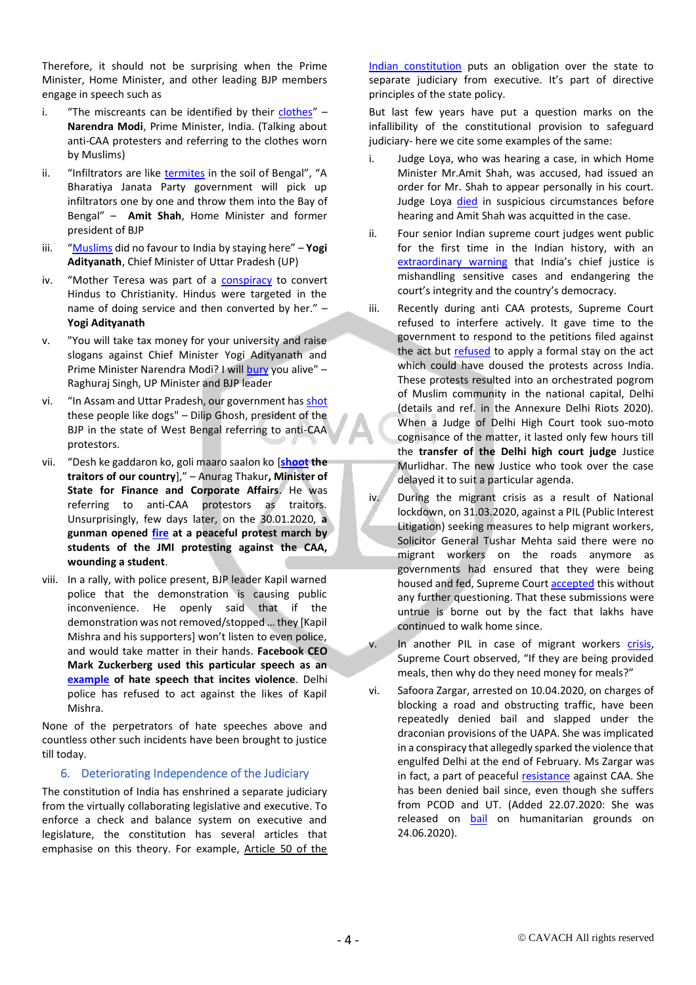Therefore, it should not be surprising when the Prime Minister, Home Minister, and other leading BJP members engage in speech such as

- i. "The miscreants can be identified by their [clothes](https://economictimes.indiatimes.com/news/politics-and-nation/those-indulging-in-arson-can-be-identified-by-their-clothes-narendra-modi-on-anti-caa-protest/articleshow/72687256.cms)"  $-$ **Narendra Modi**, Prime Minister, India. (Talking about anti-CAA protesters and referring to the clothes worn by Muslims)
- ii. "Infiltrators are like [termites](https://in.reuters.com/article/india-election-speech/amit-shah-vows-to-throw-illegal-immigrants-into-bay-of-bengal-idINKCN1RO1YD) in the soil of Bengal", "A Bharatiya Janata Party government will pick up infiltrators one by one and throw them into the Bay of Bengal" – **Amit Shah**, Home Minister and former president of BJP
- iii. "[Muslims](https://www.bbc.com/news/world-asia-india-51382414) did no favour to India by staying here" **Yogi Adityanath**, Chief Minister of Uttar Pradesh (UP)
- iv. "Mother Teresa was part of a [conspiracy](https://economictimes.indiatimes.com/news/politics-and-nation/bjp-mp-yogi-adityanath-accuses-mother-teresa-of-religious-conversion/articleshow/52842431.cms) to convert Hindus to Christianity. Hindus were targeted in the name of doing service and then converted by her." – **Yogi Adityanath**
- v. "You will take tax money for your university and raise slogans against Chief Minister Yogi Adityanath and Prime Minister Narendra Modi? I will [bury](https://www.indiatoday.in/india/story/up-minister-raghuraj-bury-alive-raise-slogans-pm-modi-yogi-adityanath-controversy-1636607-2020-01-14) you alive" – Raghuraj Singh, UP Minister and BJP leader
- vi. "In Assam and Uttar Pradesh, our government has [shot](https://timesofindia.indiatimes.com/india/dilip-ghosh-stands-by-shot-like-dogs-comment-says-it-was-for-the-country/articleshow/73273780.cms) these people like dogs" – Dilip Ghosh, president of the BJP in the state of West Bengal referring to anti-CAA protestors.
- vii. "Desh ke gaddaron ko, goli maaro saalon ko [**[shoot](https://theprint.in/india/days-before-budget-minister-anurag-thakur-chants-desh-ke-gaddaron-ko-goli-maaro-saalon-ko/355124/) the traitors of our country**]," – Anurag Thakur**, Minister of State for Finance and Corporate Affairs**. He was referring to anti-CAA protestors as traitors. Unsurprisingly, few days later, on the 30.01.2020, **a gunman opened [fire](https://www.bbc.com/news/world-asia-india-51308376) at a peaceful protest march by students of the JMI protesting against the CAA, wounding a student**.
- viii. In a rally, with police present, BJP leader Kapil warned police that the demonstration is causing public inconvenience. He openly said that if the demonstration was not removed/stopped … they [Kapil Mishra and his supporters] won't listen to even police, and would take matter in their hands. **Facebook CEO Mark Zuckerberg used this particular speech as an [example](https://thewire.in/tech/facebook-kapil-mishra-mark-zuckerberg-donald-trump) of hate speech that incites violence**. Delhi police has refused to act against the likes of Kapil Mishra.

None of the perpetrators of hate speeches above and countless other such incidents have been brought to justice till today.

### 6. Deteriorating Independence of the Judiciary

The constitution of India has enshrined a separate judiciary from the virtually collaborating legislative and executive. To enforce a check and balance system on executive and legislature, the constitution has several articles that emphasise on this theory. For example, Article 50 of the [Indian constitution](http://legislative.gov.in/sites/default/files/COI-updated-as-31072018.pdf) puts an obligation over the state to separate judiciary from executive. It's part of directive principles of the state policy.

But last few years have put a question marks on the infallibility of the constitutional provision to safeguard judiciary- here we cite some examples of the same:

- i. Judge Loya, who was hearing a case, in which Home Minister Mr.Amit Shah, was accused, had issued an order for Mr. Shah to appear personally in his court. Judge Loya [died](https://www.freepressjournal.in/india/what-is-the-justice-loya-case-and-how-is-amit-shah-involved) in suspicious circumstances before hearing and Amit Shah was acquitted in the case.
- ii. Four senior Indian supreme court judges went public for the first time in the Indian history, with an [extraordinary warning](https://www.theguardian.com/world/2018/jan/12/india-supreme-court-judges-integrity-dipak-misra) that India's chief justice is mishandling sensitive cases and endangering the court's integrity and the country's democracy.
- iii. Recently during anti CAA protests, Supreme Court refused to interfere actively. It gave time to the government to respond to the petitions filed against the act but [refused](https://www.thehindu.com/news/national/caa-petitions-sc-says-no-stay-without-hearing-centre-may-refer-pleas-to-larger-constitution-bench/article30622277.ece) to apply a formal stay on the act which could have doused the protests across India. These protests resulted into an orchestrated pogrom of Muslim community in the national capital, Delhi (details and ref. in the Annexure Delhi Riots 2020). When a Judge of Delhi High Court took suo-moto cognisance of the matter, it lasted only few hours till the **transfer of the Delhi high court judge** Justice Murlidhar. The new Justice who took over the case delayed it to suit a particular agenda.
- iv. During the migrant crisis as a result of National lockdown, on 31.03.2020, against a PIL (Public Interest Litigation) seeking measures to help migrant workers, Solicitor General Tushar Mehta said there were no migrant workers on the roads anymore as governments had ensured that they were being housed and fed, Supreme Court [accepted](https://scroll.in/article/962214/as-supreme-court-fails-to-protect-migrant-workers-rights-high-courts-show-the-way) this without any further questioning. That these submissions were untrue is borne out by the fact that lakhs have continued to walk home since.
- v. In another PIL in case of migrant workers [crisis,](https://www.telegraphindia.com/india/if-meals-are-given-why-do-they-require-wages-supreme-courts-query-during-coronavirus-lockdown/cid/1762977) Supreme Court observed, "If they are being provided meals, then why do they need money for meals?"
- vi. Safoora Zargar, arrested on 10.04.2020, on charges of blocking a road and obstructing traffic, have been repeatedly denied bail and slapped under the draconian provisions of the UAPA. She was implicated in a conspiracy that allegedly sparked the violence that engulfed Delhi at the end of February. Ms Zargar was in fact, a part of peaceful [resistance](https://scroll.in/article/964348/the-fight-to-free-pregnant-student-activist-safoora-zargar-is-a-battle-for-indias-very-soul) against CAA. She has been denied bail since, even though she suffers from PCOD and UT. (Added 22.07.2020: She was released on [bail](https://www.thequint.com/news/india/safoora-zargar-bail-hearing-delhi-high-court-uapa-jamia-caa) on humanitarian grounds on 24.06.2020).